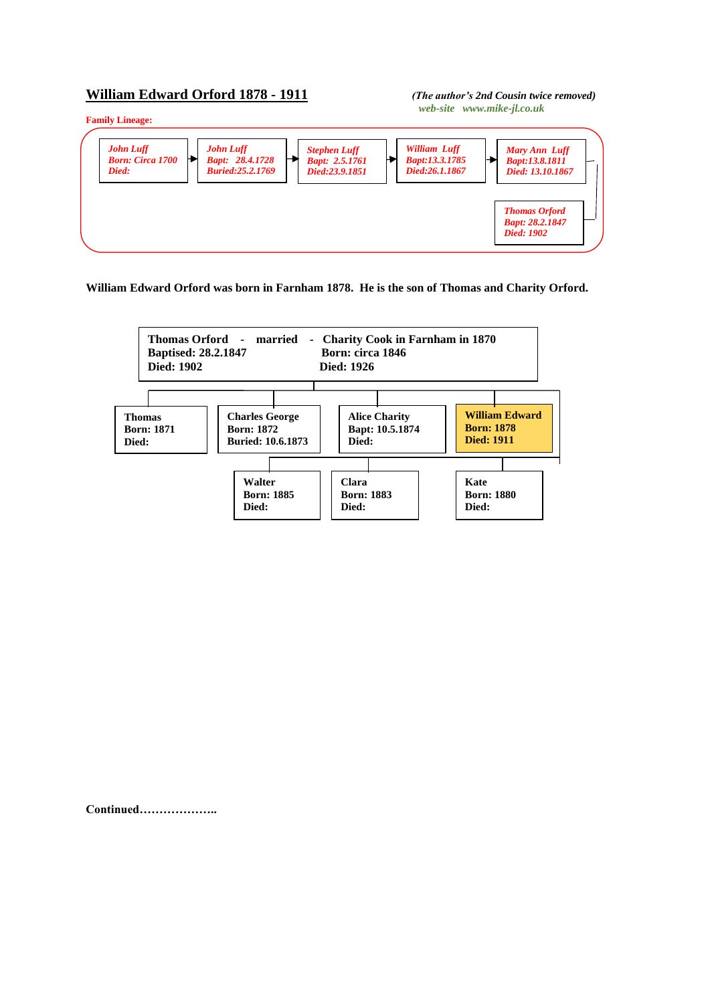## **William Edward Orford 1878 - 1911** *(The author's 2nd Cousin twice removed)*

*web-site www.mike-jl.co.uk*



**William Edward Orford was born in Farnham 1878. He is the son of Thomas and Charity Orford.**



**Continued………………..**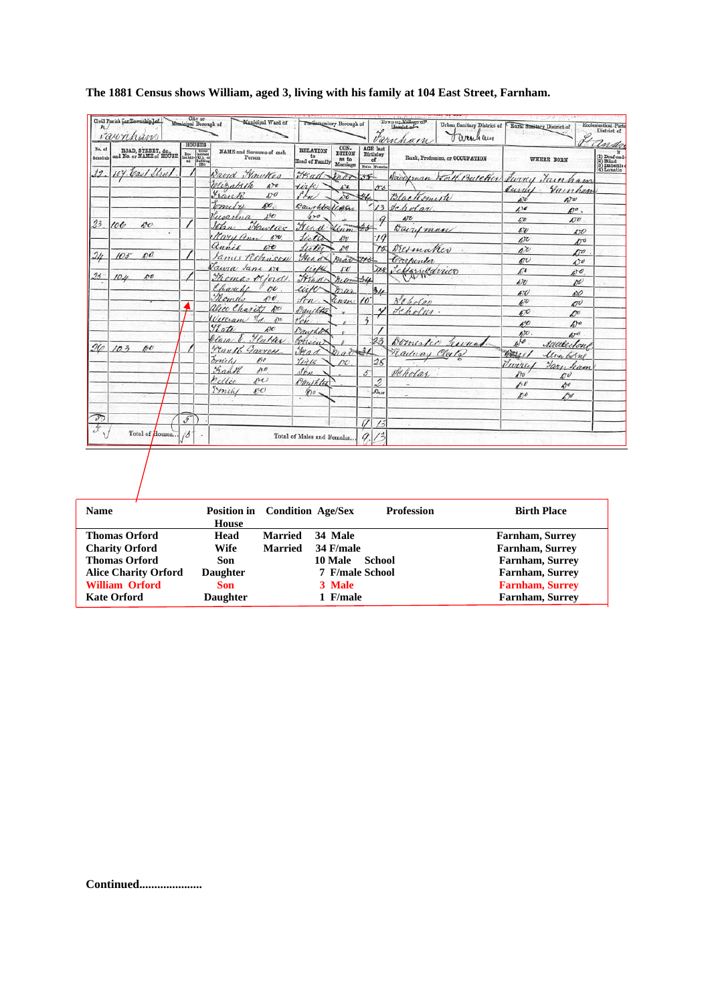|                                           | raunham                                        | <b>HOUSES</b>                                                                                                                                                                                                                                                                                                                                                                                                                                                                                      |                                       |                                         |                                            |            |                                                   | Town or Village op<br>Hamlet of<br>Farnham<br>O areach am |                                           | Rural Sunitary District of         | District of<br>andre                                                                                                       |
|-------------------------------------------|------------------------------------------------|----------------------------------------------------------------------------------------------------------------------------------------------------------------------------------------------------------------------------------------------------------------------------------------------------------------------------------------------------------------------------------------------------------------------------------------------------------------------------------------------------|---------------------------------------|-----------------------------------------|--------------------------------------------|------------|---------------------------------------------------|-----------------------------------------------------------|-------------------------------------------|------------------------------------|----------------------------------------------------------------------------------------------------------------------------|
| No, of<br>Selasdula                       | ROAD, STREET, &c.,<br>and No. or NAME of HOUSE | $\begin{array}{c} \mathbf{T}_\text{D}\text{-}\hspace{-2.1cm}\textbf{b} \text{not}\text{end} \\ \text{hatlet}\hspace{-2.1cm}\begin{array}{c} \text{b} \text{not}\text{end} \\ \text{out}\hspace{-2.1cm}\begin{array}{c} \text{b} \text{not}\text{end} \\ \text{out}\hspace{-2.1cm}\begin{array}{c} \text{b} \text{not}\text{end} \\ \text{in}\hspace{-2.1cm}\begin{array}{c} \text{b} \text{not}\hspace{-2.1cm}\text{end} \\ \text{in}\hspace{-2.1cm}\begin{array}{c} \text{b} \text{not}\hspace{-$ | NAME and Surnamo of cach<br>Person    | <b>RELATION</b><br>to<br>Head of Family | CON-<br><b>DITION</b><br>as to<br>Marriage |            | <b>AGE</b> last<br>Birthday<br>of<br>Males Founds | Rank, Profession, or OCCUPATION                           |                                           | WHERE BORN                         | -n<br>$\begin{array}{l} \text{(1) Doaf-aud-} \\ \text{(2) Blind} \\ \text{(3) Imboolle} \\ \text{(4) Lunnlic} \end{array}$ |
| 22                                        | 104. Carl Shull                                |                                                                                                                                                                                                                                                                                                                                                                                                                                                                                                    | Ward Maurtres                         | H <sub>sat</sub>                        | Inar 38                                    |            |                                                   | Davidman Worth Butcher Swins Fainham                      |                                           |                                    |                                                                                                                            |
|                                           |                                                |                                                                                                                                                                                                                                                                                                                                                                                                                                                                                                    | Websaleth<br>470                      | tirk                                    | $\mathcal{L}^{\dagger}$                    |            | 55                                                |                                                           | Juriel.                                   | Vainhan                            |                                                                                                                            |
|                                           |                                                |                                                                                                                                                                                                                                                                                                                                                                                                                                                                                                    | Frank<br>600                          | <i>I'lm</i>                             | irti                                       | 46         |                                                   | Blacksmith                                                | eri                                       | $\Delta v$                         |                                                                                                                            |
|                                           |                                                |                                                                                                                                                                                                                                                                                                                                                                                                                                                                                                    | po.<br>bometre                        | Daughter Union                          |                                            |            | 13                                                | Jeholar.                                                  | $\iota$                                   | $D^o$ .                            |                                                                                                                            |
| 23                                        |                                                |                                                                                                                                                                                                                                                                                                                                                                                                                                                                                                    | Jusqua<br>150                         | $4 - 0$                                 |                                            |            |                                                   | $A^T$                                                     | $\mathcal{L}v$                            | 60                                 |                                                                                                                            |
|                                           | 100<br>$60^{\circ}$                            |                                                                                                                                                                                                                                                                                                                                                                                                                                                                                                    | Hawlice<br>John                       | Fread                                   | $\frac{4}{3}$                              |            |                                                   | Barryman                                                  | 47                                        | 15O                                |                                                                                                                            |
|                                           |                                                |                                                                                                                                                                                                                                                                                                                                                                                                                                                                                                    | Mary ann<br>490                       | lista                                   | $490^{\circ}$                              |            | $\cdot$ 19                                        |                                                           | $\sqrt{c}$                                | $10^{6}$                           |                                                                                                                            |
| $\frac{2}{\ell}$                          | $\mathcal{D}^{\bullet}$<br>$10.5^{-}$          |                                                                                                                                                                                                                                                                                                                                                                                                                                                                                                    | annie<br>$\mathcal{L}(\mathcal{L})$   | Suter                                   | o                                          |            | 75                                                | Vietnaker                                                 | $\Lambda^{\gamma}$                        | $\Lambda^o$                        |                                                                                                                            |
|                                           |                                                |                                                                                                                                                                                                                                                                                                                                                                                                                                                                                                    | James Robinson                        | yeard                                   | mar trs                                    |            |                                                   | Carpenter                                                 | $\mathscr{E}$                             | 470                                |                                                                                                                            |
| $94 -$                                    | po<br>104                                      |                                                                                                                                                                                                                                                                                                                                                                                                                                                                                                    | Tawa Jane Ne<br>Thomas or lord        | lik                                     | $\mathcal{L}$                              |            | <b>ZXS</b>                                        | Perfarmanico                                              | $\pi$                                     | $\mathcal{A}^{\dagger}$            |                                                                                                                            |
|                                           |                                                |                                                                                                                                                                                                                                                                                                                                                                                                                                                                                                    | Charles<br>no                         | Head                                    | $h(c - 34)$                                |            |                                                   |                                                           | $\iota \bar{v}$                           | w                                  |                                                                                                                            |
|                                           |                                                |                                                                                                                                                                                                                                                                                                                                                                                                                                                                                                    | Thomas<br>490                         | uin                                     | mar                                        |            | 34                                                |                                                           | 670                                       | ADO                                |                                                                                                                            |
|                                           |                                                |                                                                                                                                                                                                                                                                                                                                                                                                                                                                                                    | alice Charity no                      | $f_{\ell}$<br>$\sim$<br>Daystota        | Kenzu                                      |            |                                                   | Scholay                                                   | $\mathscr{C}^{\prime\prime}$              | <b>DU</b>                          |                                                                                                                            |
|                                           |                                                |                                                                                                                                                                                                                                                                                                                                                                                                                                                                                                    | $%d$ .<br>Villegne<br>500             |                                         |                                            | $\ddot{3}$ | $\checkmark$                                      | Jeholui.                                                  | 670                                       | $\mathcal{D}^{\prime\prime}$       |                                                                                                                            |
|                                           |                                                |                                                                                                                                                                                                                                                                                                                                                                                                                                                                                                    | Vlate<br>$\mathcal{D}^{\prime\prime}$ | von<br>Daughter                         |                                            |            |                                                   |                                                           | 6%                                        | $A$ )                              |                                                                                                                            |
|                                           |                                                |                                                                                                                                                                                                                                                                                                                                                                                                                                                                                                    | Hatter<br>lain                        | Colisin                                 |                                            |            | 23                                                | Domester Leevan                                           | $h$ <sub><math>\alpha</math></sub><br>6/6 | 40 <sup>d</sup>                    |                                                                                                                            |
| 26                                        | 103<br>00                                      |                                                                                                                                                                                                                                                                                                                                                                                                                                                                                                    | $4$ ran/6<br>Garrett                  | ye a                                    | B1000026                                   |            |                                                   |                                                           |                                           | Sadleston                          |                                                                                                                            |
|                                           |                                                |                                                                                                                                                                                                                                                                                                                                                                                                                                                                                                    | mily<br>190                           | Yirk                                    | po                                         |            | 26                                                | Railway Clair                                             | 40rac                                     | llon borns                         |                                                                                                                            |
|                                           |                                                |                                                                                                                                                                                                                                                                                                                                                                                                                                                                                                    | Fank<br>100                           | Son.                                    |                                            | $5-$       |                                                   | Jeholas.                                                  | Twing<br>$\partial$                       | Yarn ham                           |                                                                                                                            |
|                                           |                                                |                                                                                                                                                                                                                                                                                                                                                                                                                                                                                                    | rellie<br>190                         | Paulkta                                 |                                            |            | 2                                                 | $\overline{\phantom{a}}$                                  | $\kappa v$                                | $\mathbb{Z}^{\nu}$<br>$A^{\sigma}$ |                                                                                                                            |
|                                           |                                                |                                                                                                                                                                                                                                                                                                                                                                                                                                                                                                    | Emily<br>60 <sup>0</sup>              | $x_0$                                   |                                            |            | 5h                                                |                                                           | $D^{\circ}$                               | €                                  |                                                                                                                            |
|                                           |                                                |                                                                                                                                                                                                                                                                                                                                                                                                                                                                                                    |                                       |                                         |                                            |            |                                                   |                                                           |                                           |                                    |                                                                                                                            |
|                                           |                                                |                                                                                                                                                                                                                                                                                                                                                                                                                                                                                                    |                                       |                                         |                                            |            |                                                   |                                                           |                                           |                                    |                                                                                                                            |
| $\mathcal{D}$<br>$\overline{\mathcal{X}}$ |                                                | $\mathcal{I}$                                                                                                                                                                                                                                                                                                                                                                                                                                                                                      |                                       |                                         |                                            | 0          | 13                                                |                                                           |                                           |                                    |                                                                                                                            |
|                                           | Total of Houses                                | 13                                                                                                                                                                                                                                                                                                                                                                                                                                                                                                 |                                       | Total of Males and Females              |                                            | q          |                                                   |                                                           |                                           |                                    |                                                                                                                            |

## **The 1881 Census shows William, aged 3, living with his family at 104 East Street, Farnham.**

| <b>Name</b>                 | <b>Position in</b><br>House | <b>Condition Age/Sex</b> |                        | <b>Profession</b> | <b>Birth Place</b>     |
|-----------------------------|-----------------------------|--------------------------|------------------------|-------------------|------------------------|
| <b>Thomas Orford</b>        | Head                        | <b>Married</b>           | 34 Male                |                   | <b>Farnham, Surrey</b> |
| <b>Charity Orford</b>       | Wife                        | <b>Married</b>           | 34 F/male              |                   | <b>Farnham, Surrey</b> |
| <b>Thomas Orford</b>        | Son                         |                          | 10 Male                | School            | <b>Farnham, Surrey</b> |
| <b>Alice Charity Orford</b> | <b>Daughter</b>             |                          | <b>7</b> F/male School |                   | <b>Farnham, Surrey</b> |
| <b>William Orford</b>       | Son                         |                          | 3 Male                 |                   | <b>Farnham, Surrey</b> |
| <b>Kate Orford</b>          | <b>Daughter</b>             |                          | 1 F/male               |                   | <b>Farnham, Surrey</b> |

**Continued.....................**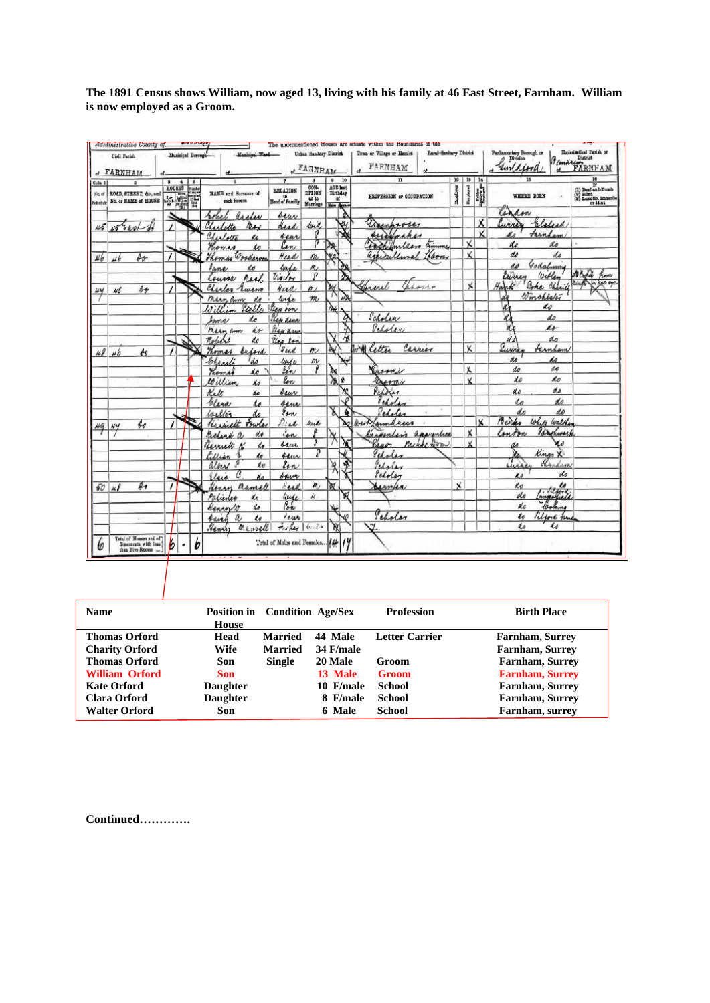**The 1891 Census shows William, now aged 13, living with his family at 46 East Street, Farnham. William is now employed as a Groom.**

|                    | Civil Parish<br>et FARNHAM                                          | Muzicipal Berough       |                   | Manichal Wash                     |                                         | Urban Sanitary District<br><b>EARNHAM</b> |                                             | Boml Sanitary District<br>Town or Village or Hamlet<br>FARNHAM<br>d |              |                         |             | Parliamentary Borough or $\mathcal D$ Division<br>unlaura | Ecclesimtical Parish or<br><i>Bemary RRNHAM</i>                                                                                                                                      |
|--------------------|---------------------------------------------------------------------|-------------------------|-------------------|-----------------------------------|-----------------------------------------|-------------------------------------------|---------------------------------------------|---------------------------------------------------------------------|--------------|-------------------------|-------------|-----------------------------------------------------------|--------------------------------------------------------------------------------------------------------------------------------------------------------------------------------------|
| Cola. 1            |                                                                     | $\overline{\mathbf{a}}$ | $\overline{a}$    | $\mathbf{a}$                      | 7                                       | $\mathbf{a}$                              | 10<br>$\bullet$                             | $\mathbf n$                                                         | 19           | $18$ $14$               |             | $\overline{15}$                                           |                                                                                                                                                                                      |
| No. of<br>Sekedale | ROAD, STREET, &c. and<br>No. or NAME of HOUSE                       | HOUSES<br>學學            | Nienker<br>Wienia | NAME and Summar of<br>each Person | <b>BELATION</b><br>to<br>Head of Family | COM-<br>DIT10N<br>ss to<br>Marriage       | AGE last<br>Birthday<br>at<br>Males (Longe) | PROFESSION or COOUPATION                                            | Employer     | Response                | <b>ESSE</b> | WHERE BORN                                                | $\begin{array}{l} \hline \text{if} \\ \text{(i)} \text{ Dust} \text{-sub-Dumb} \\ \text{(ii)} \text{ Bunt} \\ \text{(b)} \text{ Lensals, link} \\ \hline \text{or Hiot} \end{array}$ |
|                    |                                                                     |                         |                   | archer<br>robel                   | seur                                    |                                           |                                             |                                                                     |              |                         |             | an<br>an                                                  |                                                                                                                                                                                      |
| 45                 | Thor                                                                |                         |                   | Charlotte<br>$n_{\mathcal{H}}$    | dead                                    | loud                                      |                                             | weer                                                                |              |                         | Χ           | Elelera<br><b>MARA</b>                                    |                                                                                                                                                                                      |
|                    |                                                                     |                         |                   | Charlotta                         | saur                                    | q                                         |                                             | Assamahar                                                           |              |                         | x           | Farnham                                                   |                                                                                                                                                                                      |
|                    |                                                                     |                         |                   | Homas                             | lon                                     | ρ                                         |                                             | sochifulders<br>timmy                                               |              | Χ                       |             | do<br>do                                                  |                                                                                                                                                                                      |
| $\mu_{\theta}$     | bо<br>46                                                            |                         |                   | Wooderson<br>homas                | Head                                    | $\dot{m}$                                 | ٧g                                          | agricultural                                                        |              | x                       |             | do<br>do                                                  |                                                                                                                                                                                      |
|                    |                                                                     |                         |                   | fane<br>do                        | lude                                    | m,                                        |                                             |                                                                     |              |                         |             | Godslowing<br>do                                          |                                                                                                                                                                                      |
|                    |                                                                     |                         |                   | <i>Mark</i><br>Course             | Violet                                  | P                                         |                                             |                                                                     |              |                         |             | Eurey<br>Withen                                           | A Cypel<br>how                                                                                                                                                                       |
| w                  | $\oint_{\mathcal{P}}$<br>1/5                                        |                         |                   | Charles<br>Luceno                 | Head                                    | m/                                        | ₩                                           | Jenseel                                                             |              | ×                       |             | Hank<br>Poke<br>Chari                                     | 57.692<br>ļ.                                                                                                                                                                         |
|                    |                                                                     |                         |                   | Marn Com<br>do                    | wife                                    | m                                         | 48                                          |                                                                     |              |                         |             | Winchistor<br>d                                           |                                                                                                                                                                                      |
|                    |                                                                     |                         |                   | Stelle                            | Sen ion                                 |                                           | À¥.                                         |                                                                     |              |                         |             | d<br>do                                                   |                                                                                                                                                                                      |
|                    |                                                                     |                         |                   | do<br>home                        | Slep deur                               |                                           |                                             | Scholar                                                             |              |                         |             | do                                                        |                                                                                                                                                                                      |
|                    |                                                                     |                         |                   | do<br>mein am                     | Pieu dans                               |                                           | a                                           | Peholer                                                             |              |                         |             | X<br>$\mu$                                                |                                                                                                                                                                                      |
|                    |                                                                     | $\mathcal{L}$           |                   | Robert<br>do                      | Plea Ran                                |                                           |                                             |                                                                     |              |                         |             | do<br>d.                                                  |                                                                                                                                                                                      |
| w                  | $\phi_{\theta}$<br>цb                                               |                         |                   | Komas<br>beford                   | Head.                                   | m                                         | Àý                                          | and letter<br>Carrier                                               |              | Χ                       |             | Luiris<br>Fernham                                         |                                                                                                                                                                                      |
|                    |                                                                     |                         |                   | Chariti<br>'do                    |                                         | $\mathfrak{m}$                            |                                             |                                                                     |              |                         |             | do<br>NA                                                  |                                                                                                                                                                                      |
|                    |                                                                     |                         |                   | Promas<br>éo                      | luige<br>In                             | p                                         |                                             | uron                                                                |              | X                       |             | do<br>do                                                  |                                                                                                                                                                                      |
|                    |                                                                     |                         |                   | William<br>ko                     | low                                     |                                           | 忽<br>ř.                                     | Durmy                                                               |              | $\overline{\mathbf{x}}$ |             | do<br>do                                                  |                                                                                                                                                                                      |
|                    |                                                                     |                         |                   | Kale<br>do                        | deur                                    |                                           | ж                                           | Pepolen                                                             |              |                         |             | do<br>u.                                                  |                                                                                                                                                                                      |
|                    |                                                                     |                         |                   | Clera<br>Lo                       | saur                                    |                                           | ₽                                           | Perfer                                                              |              |                         |             | do<br>in                                                  |                                                                                                                                                                                      |
|                    |                                                                     |                         |                   | Walter<br>do                      | Van                                     |                                           | ď                                           | Pedolen                                                             |              |                         |             | do<br>do                                                  |                                                                                                                                                                                      |
| 49                 | $\theta_{\theta}$<br>w                                              |                         |                   | Kissiett<br>towles                | Reed                                    | frid                                      |                                             | Jamalucco<br>AHLIOS                                                 |              |                         | x           | Bentes<br>White<br>Walther                                |                                                                                                                                                                                      |
|                    |                                                                     |                         |                   | do<br>Belind<br>$\theta$          | ion                                     |                                           |                                             | appropriace<br>winters                                              |              | X                       |             | ler<br>hurer<br>Anton                                     |                                                                                                                                                                                      |
|                    |                                                                     |                         |                   | Resrett<br>do                     | sam                                     |                                           |                                             | nicel form<br>Seno.                                                 |              | x                       |             | Ko<br>ds                                                  |                                                                                                                                                                                      |
|                    |                                                                     |                         |                   | ho<br>Lillian                     | saur                                    | g                                         |                                             | Sepoles                                                             |              |                         |             | Kings                                                     |                                                                                                                                                                                      |
|                    |                                                                     |                         |                   | do<br>albert                      | Lan                                     |                                           | 冥<br>嗥                                      | Perales                                                             |              |                         |             | Hynkam<br>7<br>usi                                        |                                                                                                                                                                                      |
|                    |                                                                     |                         |                   | C<br>lei<br>d n                   | bauer                                   |                                           |                                             | Scholar                                                             |              |                         |             | do<br>do                                                  |                                                                                                                                                                                      |
| 50                 | $\overline{\mathbf{r}}$<br>$\mu$                                    |                         |                   | Herry<br>numell                   | real                                    | $\boldsymbol{m}$                          | ₩                                           | Barnfan                                                             | $\mathbf{x}$ |                         |             | W<br>do                                                   |                                                                                                                                                                                      |
|                    |                                                                     |                         |                   | Palience<br>alo                   | linge.<br>Pon                           | is.                                       | ¥                                           |                                                                     |              |                         |             | importate<br>do                                           |                                                                                                                                                                                      |
|                    |                                                                     |                         |                   | do<br>Kenrylo                     |                                         |                                           | ₩                                           |                                                                     |              |                         |             | do<br>lasking                                             |                                                                                                                                                                                      |
|                    | v.                                                                  |                         |                   | $\alpha$<br>suich<br>do           | Leur                                    |                                           | XÓ                                          | Peholar                                                             |              |                         |             | do<br>Tilford Jame                                        |                                                                                                                                                                                      |
|                    |                                                                     |                         |                   | Henry<br>mensell                  | Tai hay                                 | 6.21                                      | YX.                                         | ۳                                                                   |              |                         |             | Lo<br>$\mathcal{U}$                                       |                                                                                                                                                                                      |
| m                  | Total of Houses and of<br>Tonomonts with last<br>than Five Rooms  ) | b                       | 6                 |                                   | Total of Males and Females 14           |                                           | 14                                          |                                                                     |              |                         |             |                                                           |                                                                                                                                                                                      |

| <b>Name</b>           | Position in Condition Age/Sex<br>House |                |           | <b>Profession</b>     | <b>Birth Place</b>     |
|-----------------------|----------------------------------------|----------------|-----------|-----------------------|------------------------|
| <b>Thomas Orford</b>  | Head                                   | <b>Married</b> | 44 Male   | <b>Letter Carrier</b> | Farnham, Surrey        |
| <b>Charity Orford</b> | Wife                                   | <b>Married</b> | 34 F/male |                       | <b>Farnham, Surrey</b> |
| <b>Thomas Orford</b>  | Son                                    | <b>Single</b>  | 20 Male   | Groom                 | Farnham, Surrey        |
| <b>William Orford</b> | Son                                    |                | 13 Male   | Groom                 | <b>Farnham, Surrey</b> |
| <b>Kate Orford</b>    | <b>Daughter</b>                        |                | 10 F/male | <b>School</b>         | <b>Farnham, Surrey</b> |
| Clara Orford          | <b>Daughter</b>                        |                | 8 F/male  | School                | Farnham, Surrey        |
| <b>Walter Orford</b>  | Son                                    |                | 6 Male    | <b>School</b>         | Farnham, surrey        |

**Continued………….**